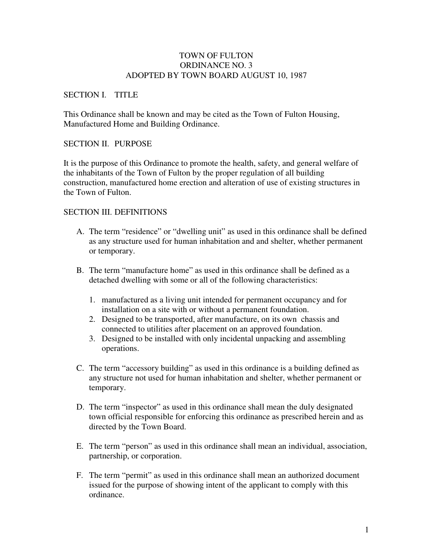### TOWN OF FULTON ORDINANCE NO. 3 ADOPTED BY TOWN BOARD AUGUST 10, 1987

### SECTION I. TITLE

This Ordinance shall be known and may be cited as the Town of Fulton Housing, Manufactured Home and Building Ordinance.

### SECTION II. PURPOSE

It is the purpose of this Ordinance to promote the health, safety, and general welfare of the inhabitants of the Town of Fulton by the proper regulation of all building construction, manufactured home erection and alteration of use of existing structures in the Town of Fulton.

## SECTION III. DEFINITIONS

- A. The term "residence" or "dwelling unit" as used in this ordinance shall be defined as any structure used for human inhabitation and and shelter, whether permanent or temporary.
- B. The term "manufacture home" as used in this ordinance shall be defined as a detached dwelling with some or all of the following characteristics:
	- 1. manufactured as a living unit intended for permanent occupancy and for installation on a site with or without a permanent foundation.
	- 2. Designed to be transported, after manufacture, on its own chassis and connected to utilities after placement on an approved foundation.
	- 3. Designed to be installed with only incidental unpacking and assembling operations.
- C. The term "accessory building" as used in this ordinance is a building defined as any structure not used for human inhabitation and shelter, whether permanent or temporary.
- D. The term "inspector" as used in this ordinance shall mean the duly designated town official responsible for enforcing this ordinance as prescribed herein and as directed by the Town Board.
- E. The term "person" as used in this ordinance shall mean an individual, association, partnership, or corporation.
- F. The term "permit" as used in this ordinance shall mean an authorized document issued for the purpose of showing intent of the applicant to comply with this ordinance.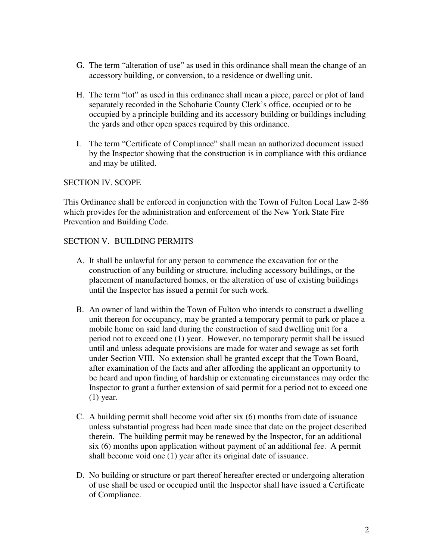- G. The term "alteration of use" as used in this ordinance shall mean the change of an accessory building, or conversion, to a residence or dwelling unit.
- H. The term "lot" as used in this ordinance shall mean a piece, parcel or plot of land separately recorded in the Schoharie County Clerk's office, occupied or to be occupied by a principle building and its accessory building or buildings including the yards and other open spaces required by this ordinance.
- I. The term "Certificate of Compliance" shall mean an authorized document issued by the Inspector showing that the construction is in compliance with this ordiance and may be utilited.

## SECTION IV. SCOPE

This Ordinance shall be enforced in conjunction with the Town of Fulton Local Law 2-86 which provides for the administration and enforcement of the New York State Fire Prevention and Building Code.

## SECTION V. BUILDING PERMITS

- A. It shall be unlawful for any person to commence the excavation for or the construction of any building or structure, including accessory buildings, or the placement of manufactured homes, or the alteration of use of existing buildings until the Inspector has issued a permit for such work.
- B. An owner of land within the Town of Fulton who intends to construct a dwelling unit thereon for occupancy, may be granted a temporary permit to park or place a mobile home on said land during the construction of said dwelling unit for a period not to exceed one (1) year. However, no temporary permit shall be issued until and unless adequate provisions are made for water and sewage as set forth under Section VIII. No extension shall be granted except that the Town Board, after examination of the facts and after affording the applicant an opportunity to be heard and upon finding of hardship or extenuating circumstances may order the Inspector to grant a further extension of said permit for a period not to exceed one (1) year.
- C. A building permit shall become void after six (6) months from date of issuance unless substantial progress had been made since that date on the project described therein. The building permit may be renewed by the Inspector, for an additional six (6) months upon application without payment of an additional fee. A permit shall become void one (1) year after its original date of issuance.
- D. No building or structure or part thereof hereafter erected or undergoing alteration of use shall be used or occupied until the Inspector shall have issued a Certificate of Compliance.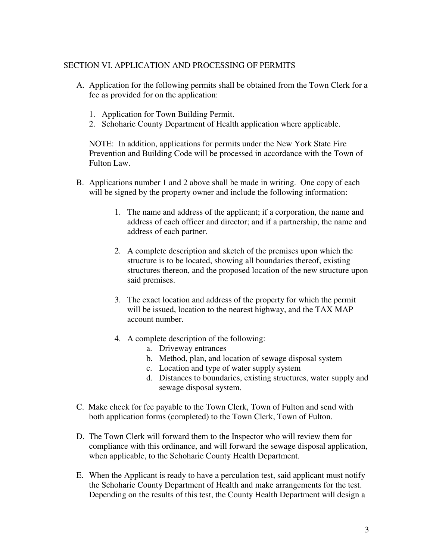### SECTION VI. APPLICATION AND PROCESSING OF PERMITS

- A. Application for the following permits shall be obtained from the Town Clerk for a fee as provided for on the application:
	- 1. Application for Town Building Permit.
	- 2. Schoharie County Department of Health application where applicable.

NOTE: In addition, applications for permits under the New York State Fire Prevention and Building Code will be processed in accordance with the Town of Fulton Law.

- B. Applications number 1 and 2 above shall be made in writing. One copy of each will be signed by the property owner and include the following information:
	- 1. The name and address of the applicant; if a corporation, the name and address of each officer and director; and if a partnership, the name and address of each partner.
	- 2. A complete description and sketch of the premises upon which the structure is to be located, showing all boundaries thereof, existing structures thereon, and the proposed location of the new structure upon said premises.
	- 3. The exact location and address of the property for which the permit will be issued, location to the nearest highway, and the TAX MAP account number.
	- 4. A complete description of the following:
		- a. Driveway entrances
		- b. Method, plan, and location of sewage disposal system
		- c. Location and type of water supply system
		- d. Distances to boundaries, existing structures, water supply and sewage disposal system.
- C. Make check for fee payable to the Town Clerk, Town of Fulton and send with both application forms (completed) to the Town Clerk, Town of Fulton.
- D. The Town Clerk will forward them to the Inspector who will review them for compliance with this ordinance, and will forward the sewage disposal application, when applicable, to the Schoharie County Health Department.
- E. When the Applicant is ready to have a perculation test, said applicant must notify the Schoharie County Department of Health and make arrangements for the test. Depending on the results of this test, the County Health Department will design a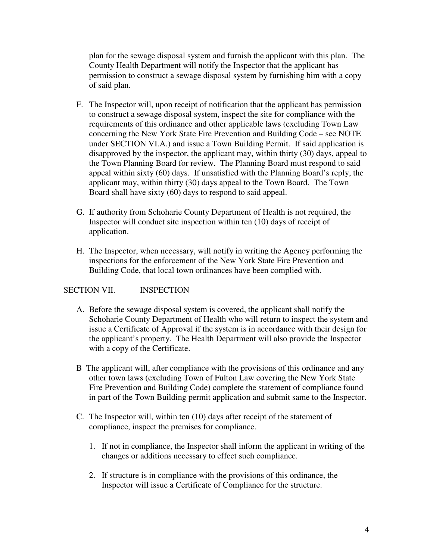plan for the sewage disposal system and furnish the applicant with this plan. The County Health Department will notify the Inspector that the applicant has permission to construct a sewage disposal system by furnishing him with a copy of said plan.

- F. The Inspector will, upon receipt of notification that the applicant has permission to construct a sewage disposal system, inspect the site for compliance with the requirements of this ordinance and other applicable laws (excluding Town Law concerning the New York State Fire Prevention and Building Code – see NOTE under SECTION VI.A.) and issue a Town Building Permit. If said application is disapproved by the inspector, the applicant may, within thirty (30) days, appeal to the Town Planning Board for review. The Planning Board must respond to said appeal within sixty (60) days. If unsatisfied with the Planning Board's reply, the applicant may, within thirty (30) days appeal to the Town Board. The Town Board shall have sixty (60) days to respond to said appeal.
- G. If authority from Schoharie County Department of Health is not required, the Inspector will conduct site inspection within ten (10) days of receipt of application.
- H. The Inspector, when necessary, will notify in writing the Agency performing the inspections for the enforcement of the New York State Fire Prevention and Building Code, that local town ordinances have been complied with.

# SECTION VII. **INSPECTION**

- A. Before the sewage disposal system is covered, the applicant shall notify the Schoharie County Department of Health who will return to inspect the system and issue a Certificate of Approval if the system is in accordance with their design for the applicant's property. The Health Department will also provide the Inspector with a copy of the Certificate.
- B The applicant will, after compliance with the provisions of this ordinance and any other town laws (excluding Town of Fulton Law covering the New York State Fire Prevention and Building Code) complete the statement of compliance found in part of the Town Building permit application and submit same to the Inspector.
- C. The Inspector will, within ten (10) days after receipt of the statement of compliance, inspect the premises for compliance.
	- 1. If not in compliance, the Inspector shall inform the applicant in writing of the changes or additions necessary to effect such compliance.
	- 2. If structure is in compliance with the provisions of this ordinance, the Inspector will issue a Certificate of Compliance for the structure.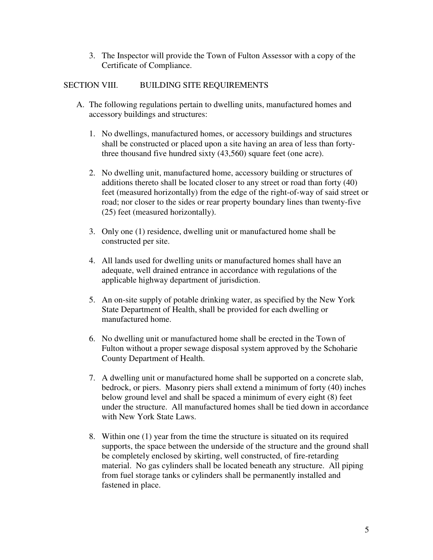3. The Inspector will provide the Town of Fulton Assessor with a copy of the Certificate of Compliance.

# SECTION VIII. BUILDING SITE REQUIREMENTS

- A. The following regulations pertain to dwelling units, manufactured homes and accessory buildings and structures:
	- 1. No dwellings, manufactured homes, or accessory buildings and structures shall be constructed or placed upon a site having an area of less than fortythree thousand five hundred sixty (43,560) square feet (one acre).
	- 2. No dwelling unit, manufactured home, accessory building or structures of additions thereto shall be located closer to any street or road than forty (40) feet (measured horizontally) from the edge of the right-of-way of said street or road; nor closer to the sides or rear property boundary lines than twenty-five (25) feet (measured horizontally).
	- 3. Only one (1) residence, dwelling unit or manufactured home shall be constructed per site.
	- 4. All lands used for dwelling units or manufactured homes shall have an adequate, well drained entrance in accordance with regulations of the applicable highway department of jurisdiction.
	- 5. An on-site supply of potable drinking water, as specified by the New York State Department of Health, shall be provided for each dwelling or manufactured home.
	- 6. No dwelling unit or manufactured home shall be erected in the Town of Fulton without a proper sewage disposal system approved by the Schoharie County Department of Health.
	- 7. A dwelling unit or manufactured home shall be supported on a concrete slab, bedrock, or piers. Masonry piers shall extend a minimum of forty (40) inches below ground level and shall be spaced a minimum of every eight (8) feet under the structure. All manufactured homes shall be tied down in accordance with New York State Laws.
	- 8. Within one (1) year from the time the structure is situated on its required supports, the space between the underside of the structure and the ground shall be completely enclosed by skirting, well constructed, of fire-retarding material. No gas cylinders shall be located beneath any structure. All piping from fuel storage tanks or cylinders shall be permanently installed and fastened in place.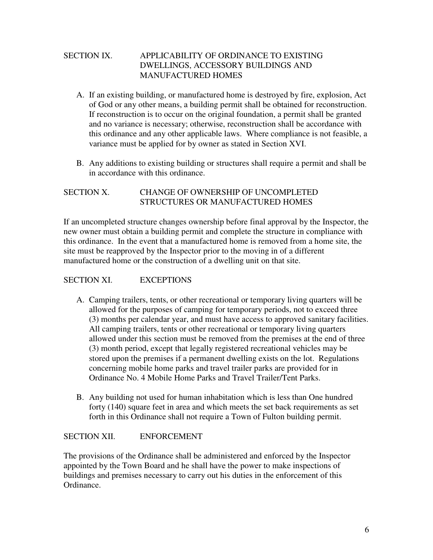# SECTION IX. APPLICABILITY OF ORDINANCE TO EXISTING DWELLINGS, ACCESSORY BUILDINGS AND MANUFACTURED HOMES

- A. If an existing building, or manufactured home is destroyed by fire, explosion, Act of God or any other means, a building permit shall be obtained for reconstruction. If reconstruction is to occur on the original foundation, a permit shall be granted and no variance is necessary; otherwise, reconstruction shall be accordance with this ordinance and any other applicable laws. Where compliance is not feasible, a variance must be applied for by owner as stated in Section XVI.
- B. Any additions to existing building or structures shall require a permit and shall be in accordance with this ordinance.

# SECTION X. CHANGE OF OWNERSHIP OF UNCOMPLETED STRUCTURES OR MANUFACTURED HOMES

If an uncompleted structure changes ownership before final approval by the Inspector, the new owner must obtain a building permit and complete the structure in compliance with this ordinance. In the event that a manufactured home is removed from a home site, the site must be reapproved by the Inspector prior to the moving in of a different manufactured home or the construction of a dwelling unit on that site.

# SECTION XI. EXCEPTIONS

- A. Camping trailers, tents, or other recreational or temporary living quarters will be allowed for the purposes of camping for temporary periods, not to exceed three (3) months per calendar year, and must have access to approved sanitary facilities. All camping trailers, tents or other recreational or temporary living quarters allowed under this section must be removed from the premises at the end of three (3) month period, except that legally registered recreational vehicles may be stored upon the premises if a permanent dwelling exists on the lot. Regulations concerning mobile home parks and travel trailer parks are provided for in Ordinance No. 4 Mobile Home Parks and Travel Trailer/Tent Parks.
- B. Any building not used for human inhabitation which is less than One hundred forty (140) square feet in area and which meets the set back requirements as set forth in this Ordinance shall not require a Town of Fulton building permit.

### SECTION XII. ENFORCEMENT

The provisions of the Ordinance shall be administered and enforced by the Inspector appointed by the Town Board and he shall have the power to make inspections of buildings and premises necessary to carry out his duties in the enforcement of this Ordinance.